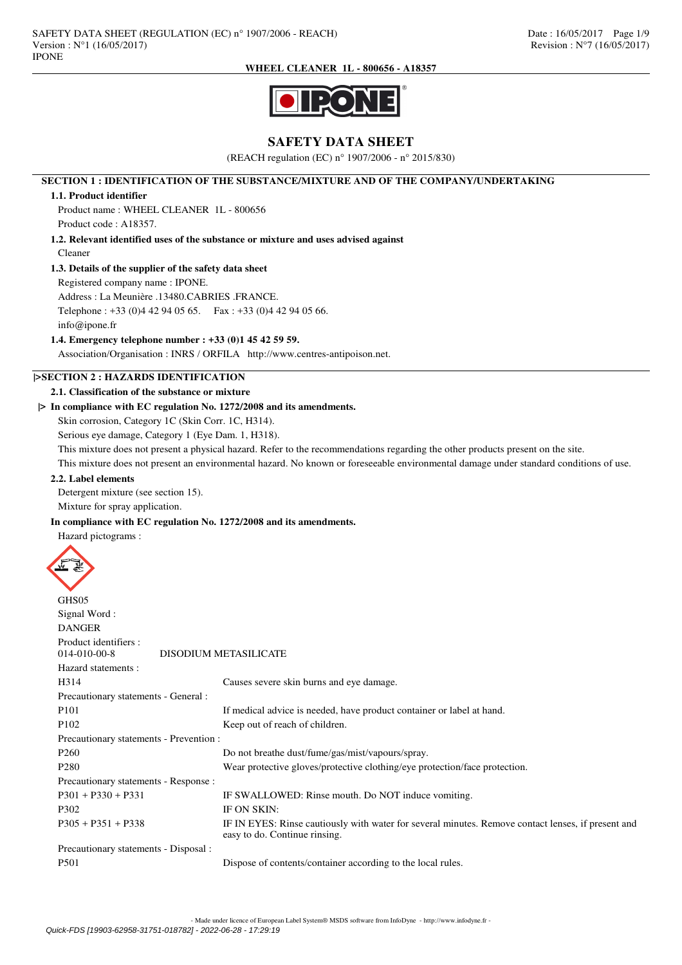

# **SAFETY DATA SHEET**

(REACH regulation (EC) n° 1907/2006 - n° 2015/830)

### **SECTION 1 : IDENTIFICATION OF THE SUBSTANCE/MIXTURE AND OF THE COMPANY/UNDERTAKING**

### **1.1. Product identifier**

Product name : WHEEL CLEANER 1L - 800656 Product code : A18357.

# **1.2. Relevant identified uses of the substance or mixture and uses advised against**

# Cleaner

# **1.3. Details of the supplier of the safety data sheet**

Registered company name : IPONE.

Address : La Meunière .13480.CABRIES .FRANCE. Telephone : +33 (0)4 42 94 05 65. Fax : +33 (0)4 42 94 05 66.

info@ipone.fr

# **1.4. Emergency telephone number : +33 (0)1 45 42 59 59.**

Association/Organisation : INRS / ORFILA http://www.centres-antipoison.net.

# **|>SECTION 2 : HAZARDS IDENTIFICATION**

### **2.1. Classification of the substance or mixture**

# **|> In compliance with EC regulation No. 1272/2008 and its amendments.**

Skin corrosion, Category 1C (Skin Corr. 1C, H314).

Serious eye damage, Category 1 (Eye Dam. 1, H318).

This mixture does not present a physical hazard. Refer to the recommendations regarding the other products present on the site.

This mixture does not present an environmental hazard. No known or foreseeable environmental damage under standard conditions of use.

### **2.2. Label elements**

Detergent mixture (see section 15).

Mixture for spray application.

### **In compliance with EC regulation No. 1272/2008 and its amendments.**

Hazard pictograms :



| <u>UHDUJ</u>                            |                                                                                                                                     |
|-----------------------------------------|-------------------------------------------------------------------------------------------------------------------------------------|
| Signal Word:                            |                                                                                                                                     |
| <b>DANGER</b>                           |                                                                                                                                     |
| Product identifiers :                   |                                                                                                                                     |
| $014 - 010 - 00 - 8$                    | DISODIUM METASILICATE                                                                                                               |
| Hazard statements:                      |                                                                                                                                     |
| H314                                    | Causes severe skin burns and eye damage.                                                                                            |
| Precautionary statements - General :    |                                                                                                                                     |
| P <sub>101</sub>                        | If medical advice is needed, have product container or label at hand.                                                               |
| P <sub>102</sub>                        | Keep out of reach of children.                                                                                                      |
| Precautionary statements - Prevention : |                                                                                                                                     |
| P <sub>260</sub>                        | Do not breathe dust/fume/gas/mist/vapours/spray.                                                                                    |
| P <sub>280</sub>                        | Wear protective gloves/protective clothing/eye protection/face protection.                                                          |
| Precautionary statements - Response :   |                                                                                                                                     |
| $P301 + P330 + P331$                    | IF SWALLOWED: Rinse mouth. Do NOT induce vomiting.                                                                                  |
| P302                                    | IF ON SKIN:                                                                                                                         |
| $P305 + P351 + P338$                    | IF IN EYES: Rinse cautiously with water for several minutes. Remove contact lenses, if present and<br>easy to do. Continue rinsing. |
| Precautionary statements - Disposal :   |                                                                                                                                     |
| P <sub>501</sub>                        | Dispose of contents/container according to the local rules.                                                                         |
|                                         |                                                                                                                                     |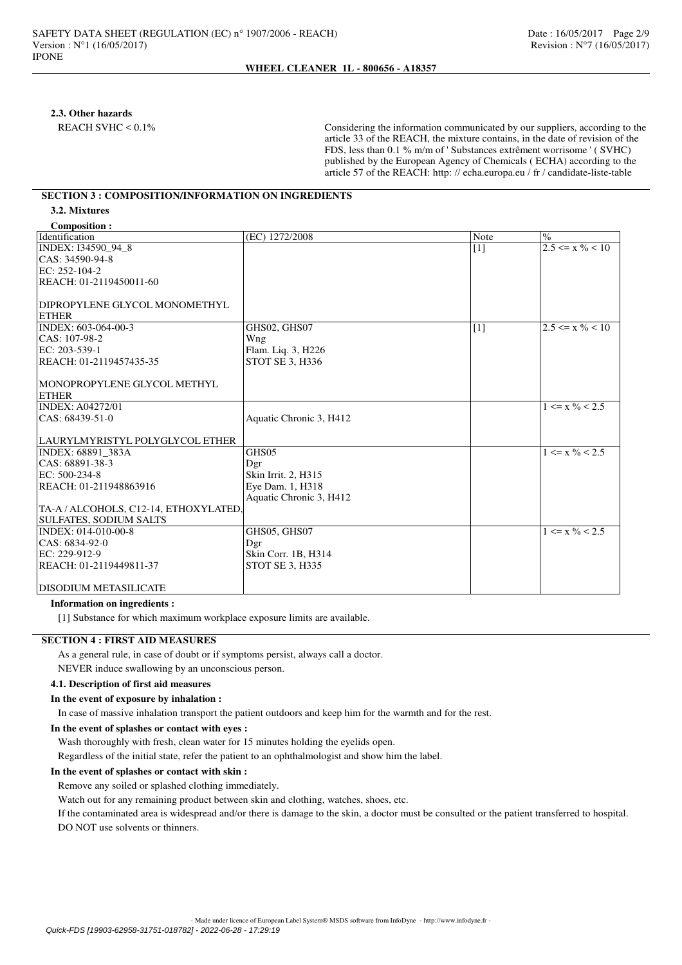### **2.3. Other hazards**

REACH SVHC < 0.1% Considering the information communicated by our suppliers, according to the article 33 of the REACH, the mixture contains, in the date of revision of the FDS, less than 0.1 % m/m of ' Substances extrêment worrisome ' ( SVHC) published by the European Agency of Chemicals ( ECHA) according to the article 57 of the REACH: http: // echa.europa.eu / fr / candidate-liste-table

# **SECTION 3 : COMPOSITION/INFORMATION ON INGREDIENTS**

**3.2. Mixtures**

| <b>Composition:</b>                   |                         |       |                               |
|---------------------------------------|-------------------------|-------|-------------------------------|
| Identification                        | (EC) 1272/2008          | Note  | $\frac{0}{0}$                 |
| INDEX: I34590 94 8                    |                         | $[1]$ | $2.5 \le x \frac{9}{6} < 10$  |
| CAS: 34590-94-8                       |                         |       |                               |
| EC: 252-104-2                         |                         |       |                               |
| REACH: 01-2119450011-60               |                         |       |                               |
|                                       |                         |       |                               |
| DIPROPYLENE GLYCOL MONOMETHYL         |                         |       |                               |
| <b>ETHER</b>                          |                         |       |                               |
| INDEX: 603-064-00-3                   | GHS02, GHS07            | $[1]$ | $2.5 \le x \frac{0}{6} < 10$  |
| $ CAS: 107-98-2$                      | Wng                     |       |                               |
| EC: 203-539-1                         | Flam. Liq. 3, H226      |       |                               |
| REACH: 01-2119457435-35               | <b>STOT SE 3, H336</b>  |       |                               |
|                                       |                         |       |                               |
| MONOPROPYLENE GLYCOL METHYL           |                         |       |                               |
| <b>ETHER</b>                          |                         |       |                               |
| <b>INDEX: A04272/01</b>               |                         |       | $1 \le x \frac{9}{6} \le 2.5$ |
| $ CAS: 68439-51-0$                    | Aquatic Chronic 3, H412 |       |                               |
|                                       |                         |       |                               |
| LAURYLMYRISTYL POLYGLYCOL ETHER       |                         |       |                               |
| INDEX: 68891 383A                     | GHS05                   |       | $1 \le x \frac{0}{6} < 2.5$   |
| CAS: 68891-38-3                       | Dgr                     |       |                               |
| EC: 500-234-8                         | Skin Irrit. 2, H315     |       |                               |
| REACH: 01-211948863916                | Eye Dam. 1, H318        |       |                               |
|                                       | Aquatic Chronic 3, H412 |       |                               |
| TA-A / ALCOHOLS, C12-14, ETHOXYLATED. |                         |       |                               |
| <b>SULFATES, SODIUM SALTS</b>         |                         |       |                               |
| INDEX: 014-010-00-8                   | GHS05, GHS07            |       | $1 \le x \frac{0}{6} < 2.5$   |
| $ CAS: 6834-92-0$                     | Dgr                     |       |                               |
| EC: 229-912-9                         | Skin Corr. 1B, H314     |       |                               |
| REACH: 01-2119449811-37               | STOT SE 3, H335         |       |                               |
|                                       |                         |       |                               |
| DISODIUM METASILICATE                 |                         |       |                               |

### **Information on ingredients :**

[1] Substance for which maximum workplace exposure limits are available.

# **SECTION 4 : FIRST AID MEASURES**

As a general rule, in case of doubt or if symptoms persist, always call a doctor.

NEVER induce swallowing by an unconscious person.

# **4.1. Description of first aid measures**

### **In the event of exposure by inhalation :**

In case of massive inhalation transport the patient outdoors and keep him for the warmth and for the rest.

#### **In the event of splashes or contact with eyes :**

Wash thoroughly with fresh, clean water for 15 minutes holding the eyelids open.

Regardless of the initial state, refer the patient to an ophthalmologist and show him the label.

### **In the event of splashes or contact with skin :**

Remove any soiled or splashed clothing immediately.

Watch out for any remaining product between skin and clothing, watches, shoes, etc.

If the contaminated area is widespread and/or there is damage to the skin, a doctor must be consulted or the patient transferred to hospital. DO NOT use solvents or thinners.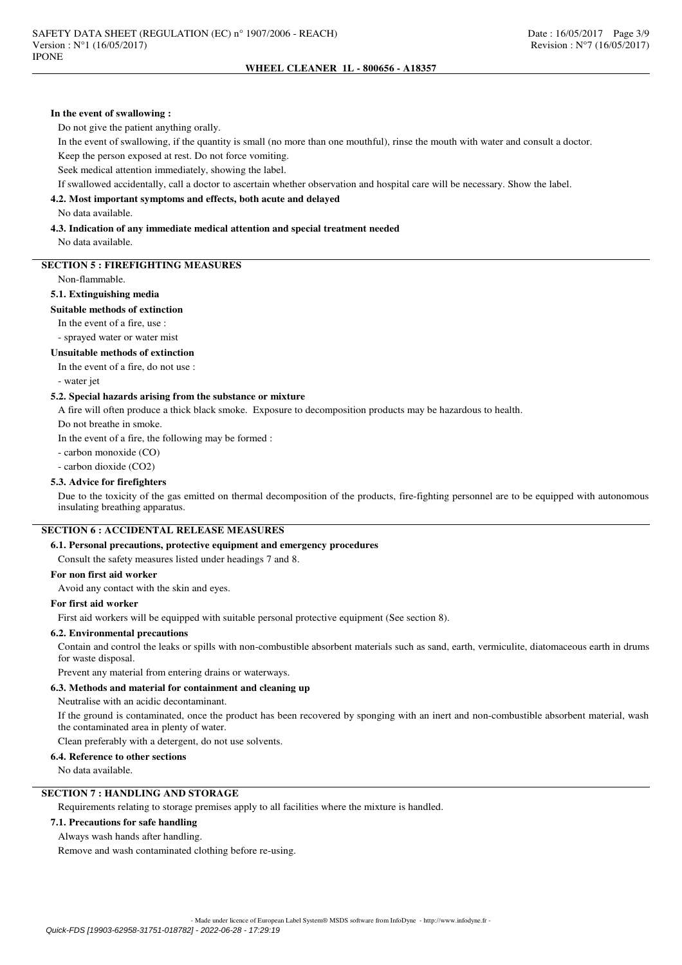#### **In the event of swallowing :**

Do not give the patient anything orally.

In the event of swallowing, if the quantity is small (no more than one mouthful), rinse the mouth with water and consult a doctor.

Keep the person exposed at rest. Do not force vomiting.

Seek medical attention immediately, showing the label.

If swallowed accidentally, call a doctor to ascertain whether observation and hospital care will be necessary. Show the label.

### **4.2. Most important symptoms and effects, both acute and delayed**

No data available.

#### **4.3. Indication of any immediate medical attention and special treatment needed** No data available.

**SECTION 5 : FIREFIGHTING MEASURES**

Non-flammable.

# **5.1. Extinguishing media**

#### **Suitable methods of extinction**

In the event of a fire, use :

- sprayed water or water mist

#### **Unsuitable methods of extinction**

In the event of a fire, do not use :

- water jet

### **5.2. Special hazards arising from the substance or mixture**

A fire will often produce a thick black smoke. Exposure to decomposition products may be hazardous to health.

Do not breathe in smoke.

In the event of a fire, the following may be formed :

- carbon monoxide (CO)

- carbon dioxide (CO2)

### **5.3. Advice for firefighters**

Due to the toxicity of the gas emitted on thermal decomposition of the products, fire-fighting personnel are to be equipped with autonomous insulating breathing apparatus.

## **SECTION 6 : ACCIDENTAL RELEASE MEASURES**

## **6.1. Personal precautions, protective equipment and emergency procedures**

Consult the safety measures listed under headings 7 and 8.

### **For non first aid worker**

Avoid any contact with the skin and eyes.

#### **For first aid worker**

First aid workers will be equipped with suitable personal protective equipment (See section 8).

# **6.2. Environmental precautions**

Contain and control the leaks or spills with non-combustible absorbent materials such as sand, earth, vermiculite, diatomaceous earth in drums for waste disposal.

Prevent any material from entering drains or waterways.

### **6.3. Methods and material for containment and cleaning up**

Neutralise with an acidic decontaminant.

If the ground is contaminated, once the product has been recovered by sponging with an inert and non-combustible absorbent material, wash the contaminated area in plenty of water.

Clean preferably with a detergent, do not use solvents.

### **6.4. Reference to other sections**

No data available.

# **SECTION 7 : HANDLING AND STORAGE**

Requirements relating to storage premises apply to all facilities where the mixture is handled.

## **7.1. Precautions for safe handling**

Always wash hands after handling.

Remove and wash contaminated clothing before re-using.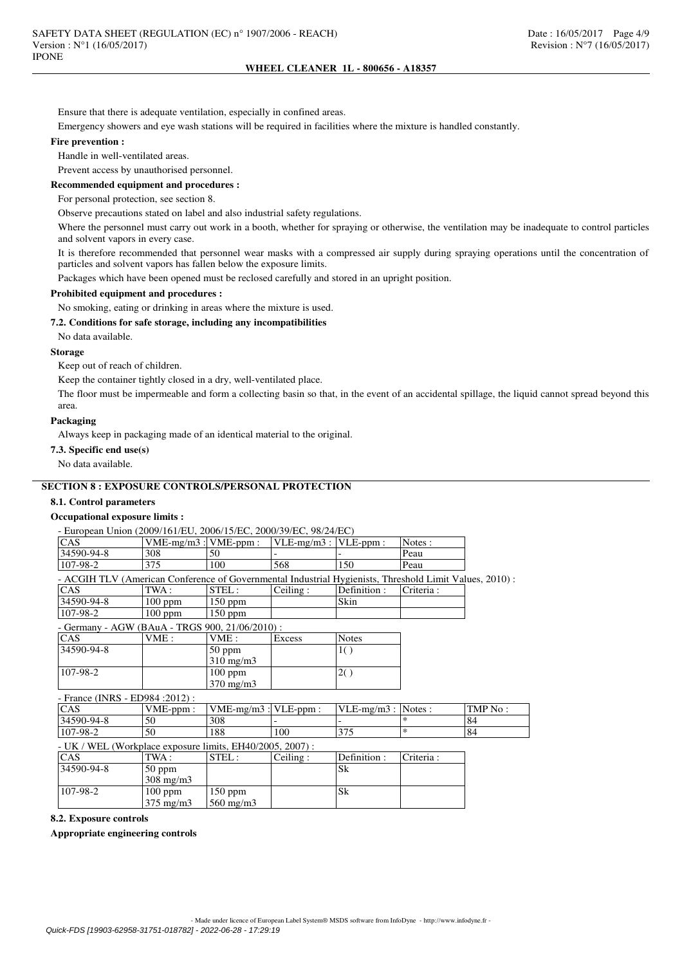Ensure that there is adequate ventilation, especially in confined areas.

Emergency showers and eye wash stations will be required in facilities where the mixture is handled constantly.

#### **Fire prevention :**

Handle in well-ventilated areas.

Prevent access by unauthorised personnel.

### **Recommended equipment and procedures :**

For personal protection, see section 8.

Observe precautions stated on label and also industrial safety regulations.

Where the personnel must carry out work in a booth, whether for spraying or otherwise, the ventilation may be inadequate to control particles and solvent vapors in every case.

It is therefore recommended that personnel wear masks with a compressed air supply during spraying operations until the concentration of particles and solvent vapors has fallen below the exposure limits.

Packages which have been opened must be reclosed carefully and stored in an upright position.

# **Prohibited equipment and procedures :**

No smoking, eating or drinking in areas where the mixture is used.

# **7.2. Conditions for safe storage, including any incompatibilities**

No data available.

# **Storage**

Keep out of reach of children.

Keep the container tightly closed in a dry, well-ventilated place.

The floor must be impermeable and form a collecting basin so that, in the event of an accidental spillage, the liquid cannot spread beyond this area.

# **Packaging**

Always keep in packaging made of an identical material to the original.

### **7.3. Specific end use(s)**

No data available.

# **SECTION 8 : EXPOSURE CONTROLS/PERSONAL PROTECTION**

### **8.1. Control parameters**

# **Occupational exposure limits :**

| - European Union (2009/161/EU, 2006/15/EC, 2000/39/EC, 98/24/EC) |                                                                                                        |                           |               |                          |           |         |  |  |
|------------------------------------------------------------------|--------------------------------------------------------------------------------------------------------|---------------------------|---------------|--------------------------|-----------|---------|--|--|
| CAS                                                              |                                                                                                        | $VME-mg/m3$ : $VME-ppm$ : |               | $VLE-mg/m3:$<br>VLE-ppm: | Notes:    |         |  |  |
| 34590-94-8                                                       | 308                                                                                                    | 50                        |               |                          | Peau      |         |  |  |
| 107-98-2                                                         | 375                                                                                                    | 100                       | 568           | 150                      | Peau      |         |  |  |
|                                                                  | - ACGIH TLV (American Conference of Governmental Industrial Hygienists, Threshold Limit Values, 2010): |                           |               |                          |           |         |  |  |
| <b>CAS</b>                                                       | TWA:                                                                                                   | STEL:                     | Ceiling:      | Definition:              | Criteria: |         |  |  |
| 34590-94-8                                                       | 100 ppm                                                                                                | 150 ppm                   |               | Skin                     |           |         |  |  |
| 107-98-2                                                         | $100$ ppm                                                                                              | 150 ppm                   |               |                          |           |         |  |  |
| - Germany - AGW (BAuA - TRGS 900, 21/06/2010) :                  |                                                                                                        |                           |               |                          |           |         |  |  |
| <b>CAS</b>                                                       | VME:                                                                                                   | VME:                      | <b>Excess</b> | <b>Notes</b>             |           |         |  |  |
| 34590-94-8                                                       |                                                                                                        | $50$ ppm                  |               | 1()                      |           |         |  |  |
|                                                                  |                                                                                                        | $310$ mg/m $3$            |               |                          |           |         |  |  |
| 107-98-2                                                         |                                                                                                        | $100$ ppm                 |               | 2()                      |           |         |  |  |
|                                                                  |                                                                                                        | 370 mg/m3                 |               |                          |           |         |  |  |
| - France (INRS - ED984 : 2012) :                                 |                                                                                                        |                           |               |                          |           |         |  |  |
| CAS                                                              | $VME-ppm$ :                                                                                            | $VME-mg/m3$ : $VLE-ppm$ : |               | $VLE-mg/m3$ :            | Notes:    | TMP No: |  |  |
| 34590-94-8                                                       | 50                                                                                                     | 308                       |               |                          | $\ast$    | 84      |  |  |
| 107-98-2                                                         | 50                                                                                                     | 188                       | 100           | 375                      | $\ast$    | 84      |  |  |
| - UK / WEL (Workplace exposure limits, EH40/2005, 2007) :        |                                                                                                        |                           |               |                          |           |         |  |  |
| CAS                                                              | TWA:                                                                                                   | STEL:                     | Ceiling:      | Definition:              | Criteria: |         |  |  |
| 34590-94-8                                                       | $50$ ppm                                                                                               |                           |               | Sk                       |           |         |  |  |
|                                                                  | $308 \text{ mg/m}$                                                                                     |                           |               |                          |           |         |  |  |
| 107-98-2                                                         | $100$ ppm                                                                                              | $150$ ppm                 |               | Sk                       |           |         |  |  |
|                                                                  | $375 \text{ mg/m}$                                                                                     | $560$ mg/m $3$            |               |                          |           |         |  |  |
|                                                                  |                                                                                                        |                           |               |                          |           |         |  |  |

**8.2. Exposure controls**

**Appropriate engineering controls**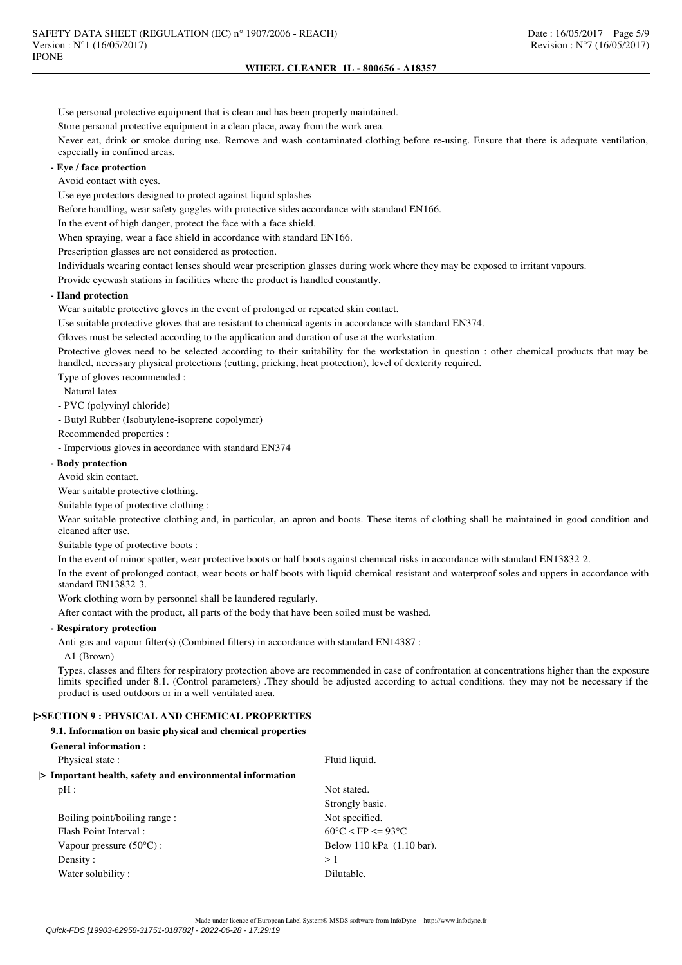Use personal protective equipment that is clean and has been properly maintained.

Store personal protective equipment in a clean place, away from the work area.

Never eat, drink or smoke during use. Remove and wash contaminated clothing before re-using. Ensure that there is adequate ventilation, especially in confined areas.

# **- Eye / face protection**

Avoid contact with eyes.

Use eye protectors designed to protect against liquid splashes

Before handling, wear safety goggles with protective sides accordance with standard EN166.

In the event of high danger, protect the face with a face shield.

When spraying, wear a face shield in accordance with standard EN166.

Prescription glasses are not considered as protection.

Individuals wearing contact lenses should wear prescription glasses during work where they may be exposed to irritant vapours.

Provide eyewash stations in facilities where the product is handled constantly.

# **- Hand protection**

Wear suitable protective gloves in the event of prolonged or repeated skin contact.

Use suitable protective gloves that are resistant to chemical agents in accordance with standard EN374.

Gloves must be selected according to the application and duration of use at the workstation.

Protective gloves need to be selected according to their suitability for the workstation in question : other chemical products that may be handled, necessary physical protections (cutting, pricking, heat protection), level of dexterity required.

Type of gloves recommended :

- Natural latex

- PVC (polyvinyl chloride)

- Butyl Rubber (Isobutylene-isoprene copolymer)

Recommended properties :

- Impervious gloves in accordance with standard EN374

### **- Body protection**

Avoid skin contact.

Wear suitable protective clothing.

Suitable type of protective clothing :

Wear suitable protective clothing and, in particular, an apron and boots. These items of clothing shall be maintained in good condition and cleaned after use.

Suitable type of protective boots :

In the event of minor spatter, wear protective boots or half-boots against chemical risks in accordance with standard EN13832-2. In the event of prolonged contact, wear boots or half-boots with liquid-chemical-resistant and waterproof soles and uppers in accordance with standard EN13832-3.

Work clothing worn by personnel shall be laundered regularly.

After contact with the product, all parts of the body that have been soiled must be washed.

# **- Respiratory protection**

Anti-gas and vapour filter(s) (Combined filters) in accordance with standard EN14387 :

- A1 (Brown)

Types, classes and filters for respiratory protection above are recommended in case of confrontation at concentrations higher than the exposure limits specified under 8.1. (Control parameters) .They should be adjusted according to actual conditions. they may not be necessary if the product is used outdoors or in a well ventilated area.

# **|>SECTION 9 : PHYSICAL AND CHEMICAL PROPERTIES**

| 9.1. Information on basic physical and chemical properties |                                        |  |  |  |  |
|------------------------------------------------------------|----------------------------------------|--|--|--|--|
| <b>General information:</b>                                |                                        |  |  |  |  |
| Physical state:<br>Fluid liquid.                           |                                        |  |  |  |  |
| > Important health, safety and environmental information   |                                        |  |  |  |  |
| $pH$ :                                                     | Not stated.                            |  |  |  |  |
|                                                            | Strongly basic.                        |  |  |  |  |
| Boiling point/boiling range:                               | Not specified.                         |  |  |  |  |
| <b>Flash Point Interval:</b>                               | $60^{\circ}$ C < FP <= 93 $^{\circ}$ C |  |  |  |  |
| Vapour pressure $(50^{\circ}C)$ :                          | Below 110 kPa (1.10 bar).              |  |  |  |  |
| Density:                                                   | >1                                     |  |  |  |  |
| Water solubility:                                          | Dilutable.                             |  |  |  |  |
|                                                            |                                        |  |  |  |  |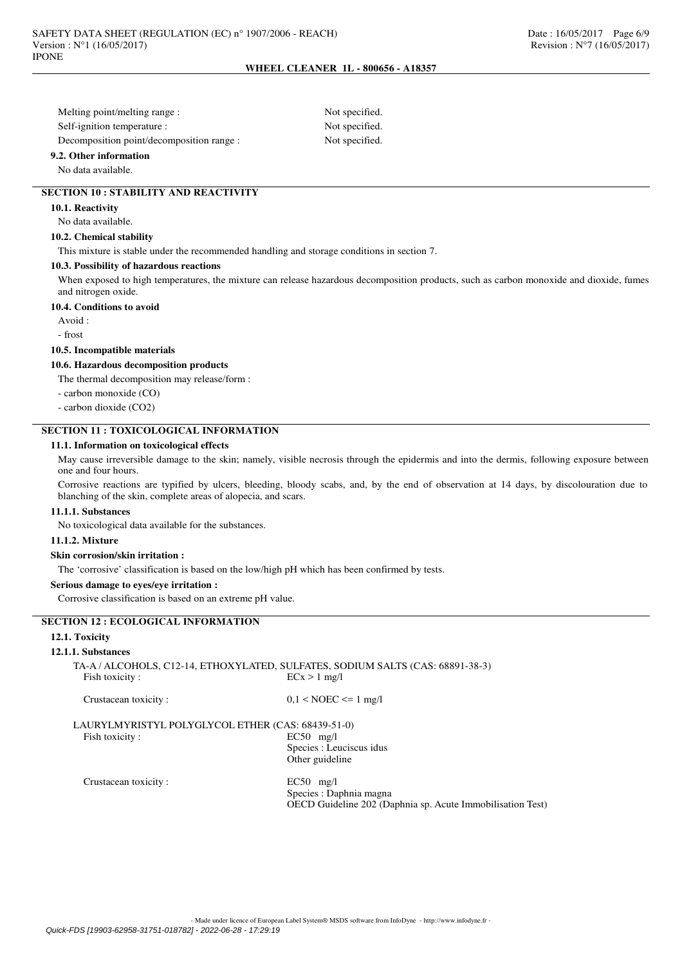Melting point/melting range : Not specified. Self-ignition temperature : Not specified. Decomposition point/decomposition range : Not specified.

**9.2. Other information**

#### No data available.

### **SECTION 10 : STABILITY AND REACTIVITY**

#### **10.1. Reactivity**

No data available.

## **10.2. Chemical stability**

This mixture is stable under the recommended handling and storage conditions in section 7.

## **10.3. Possibility of hazardous reactions**

When exposed to high temperatures, the mixture can release hazardous decomposition products, such as carbon monoxide and dioxide, fumes and nitrogen oxide.

## **10.4. Conditions to avoid**

Avoid :

- frost

#### **10.5. Incompatible materials**

**10.6. Hazardous decomposition products**

The thermal decomposition may release/form :

- carbon monoxide (CO)

- carbon dioxide (CO2)

## **SECTION 11 : TOXICOLOGICAL INFORMATION**

#### **11.1. Information on toxicological effects**

May cause irreversible damage to the skin; namely, visible necrosis through the epidermis and into the dermis, following exposure between one and four hours.

Corrosive reactions are typified by ulcers, bleeding, bloody scabs, and, by the end of observation at 14 days, by discolouration due to blanching of the skin, complete areas of alopecia, and scars.

#### **11.1.1. Substances**

No toxicological data available for the substances.

#### **11.1.2. Mixture**

### **Skin corrosion/skin irritation :**

The 'corrosive' classification is based on the low/high pH which has been confirmed by tests.

#### **Serious damage to eyes/eye irritation :**

Corrosive classification is based on an extreme pH value.

# **SECTION 12 : ECOLOGICAL INFORMATION**

### **12.1. Toxicity**

#### **12.1.1. Substances**

|                | TA-A / ALCOHOLS, C12-14, ETHOXYLATED, SULFATES, SODIUM SALTS (CAS: 68891-38-3) |
|----------------|--------------------------------------------------------------------------------|
| Fish toxicity: | $ECx > 1$ mg/l                                                                 |
|                |                                                                                |

| Crustacean toxicity: | $0,1 <$ NOEC $\leq 1$ mg/l |  |  |  |  |
|----------------------|----------------------------|--|--|--|--|
|                      |                            |  |  |  |  |

LAURYLMYRISTYL POLYGLYCOL ETHER (CAS: 68439-51-0) Fish toxicity : EC50 mg/l Species : Leuciscus idus Other guideline

Crustacean toxicity : EC50 mg/l

Species : Daphnia magna OECD Guideline 202 (Daphnia sp. Acute Immobilisation Test)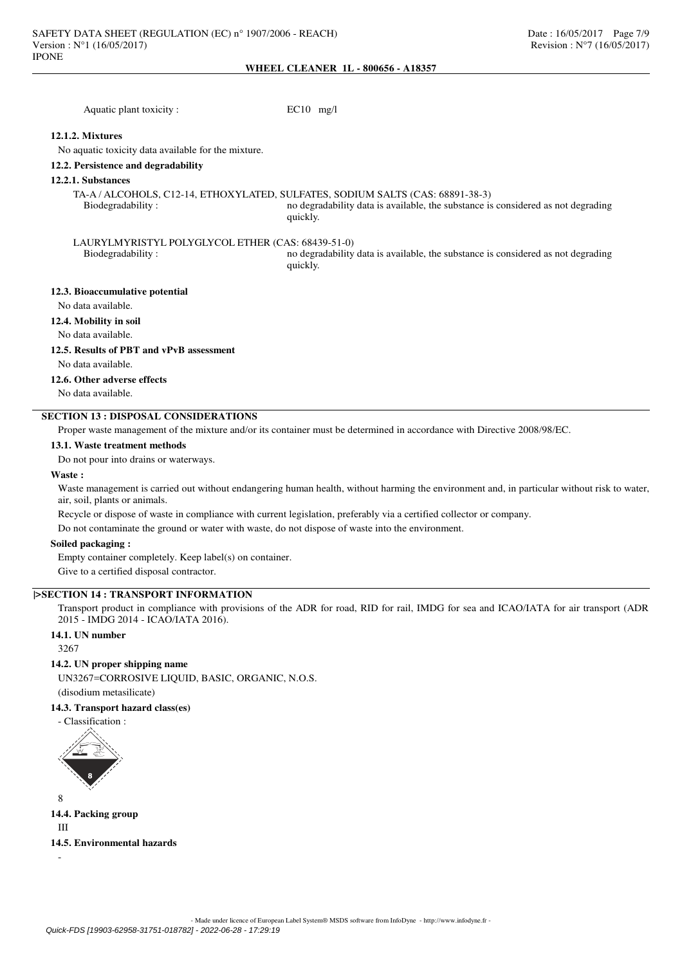| Aquatic plant toxicity:                             | $EC10$ mg/l                                                                                                                                                                    |
|-----------------------------------------------------|--------------------------------------------------------------------------------------------------------------------------------------------------------------------------------|
| 12.1.2. Mixtures                                    |                                                                                                                                                                                |
| No aquatic toxicity data available for the mixture. |                                                                                                                                                                                |
| 12.2. Persistence and degradability                 |                                                                                                                                                                                |
| 12.2.1. Substances                                  |                                                                                                                                                                                |
| Biodegradability:                                   | TA-A / ALCOHOLS, C12-14, ETHOXYLATED, SULFATES, SODIUM SALTS (CAS: 68891-38-3)<br>no degradability data is available, the substance is considered as not degrading<br>quickly. |
| LAURYLMYRISTYL POLYGLYCOL ETHER (CAS: 68439-51-0)   |                                                                                                                                                                                |
| Biodegradability:                                   | no degradability data is available, the substance is considered as not degrading<br>quickly.                                                                                   |
| 12.3. Bioaccumulative potential                     |                                                                                                                                                                                |
| No data available.                                  |                                                                                                                                                                                |
| 12.4. Mobility in soil                              |                                                                                                                                                                                |
| No data available.                                  |                                                                                                                                                                                |

### **12.5. Results of PBT and vPvB assessment**

No data available.

## **12.6. Other adverse effects**

No data available.

# **SECTION 13 : DISPOSAL CONSIDERATIONS**

Proper waste management of the mixture and/or its container must be determined in accordance with Directive 2008/98/EC.

#### **13.1. Waste treatment methods**

Do not pour into drains or waterways.

### **Waste :**

Waste management is carried out without endangering human health, without harming the environment and, in particular without risk to water, air, soil, plants or animals.

Recycle or dispose of waste in compliance with current legislation, preferably via a certified collector or company.

Do not contaminate the ground or water with waste, do not dispose of waste into the environment.

#### **Soiled packaging :**

Empty container completely. Keep label(s) on container. Give to a certified disposal contractor.

### **|>SECTION 14 : TRANSPORT INFORMATION**

Transport product in compliance with provisions of the ADR for road, RID for rail, IMDG for sea and ICAO/IATA for air transport (ADR 2015 - IMDG 2014 - ICAO/IATA 2016).

### **14.1. UN number**

3267

### **14.2. UN proper shipping name**

UN3267=CORROSIVE LIQUID, BASIC, ORGANIC, N.O.S.

(disodium metasilicate)

# **14.3. Transport hazard class(es)**

- Classification :



**14.4. Packing group** III

## **14.5. Environmental hazards**

-

8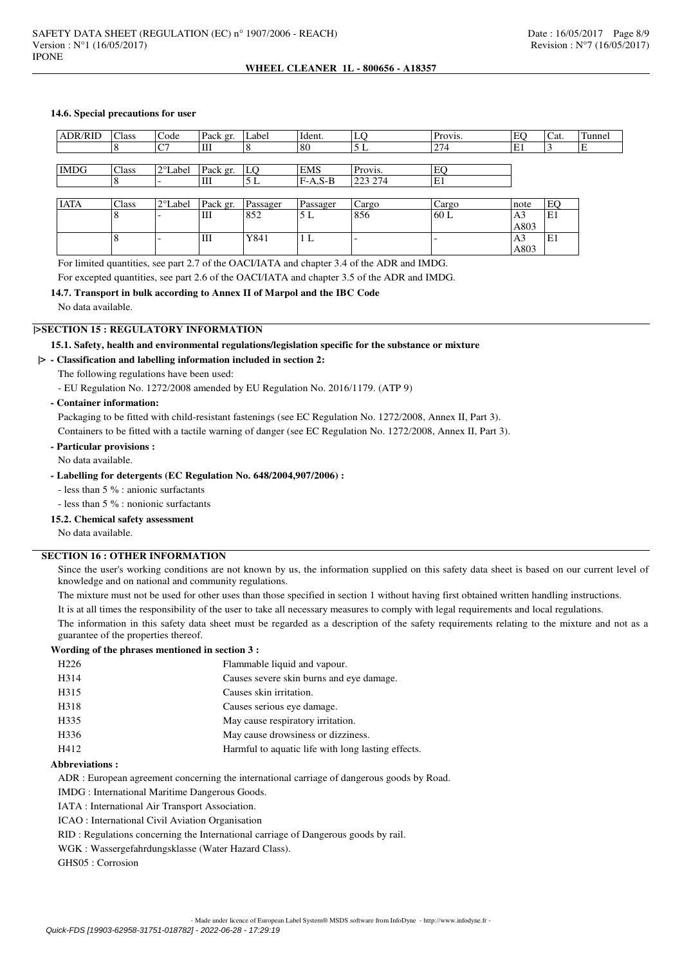### **14.6. Special precautions for user**

| <b>ADR/RID</b> | Class        | Code              | Pack gr. | Label    | Ident.     | LQ      | Provis.                  | EQ             | Cat. | Tunnel |
|----------------|--------------|-------------------|----------|----------|------------|---------|--------------------------|----------------|------|--------|
|                | Ō            | C7                | Ш        | $\circ$  | 80         | 5L      | 274                      | E1             |      | E      |
|                |              |                   |          |          |            |         |                          |                |      |        |
| <b>IMDG</b>    | Class        | $2^{\circ}$ Label | Pack gr. | LQ       | <b>EMS</b> | Provis. | EQ                       |                |      |        |
|                | o<br>Õ       |                   | Ш        | 5 L      | $F-A,S-B$  | 223 274 | E1                       |                |      |        |
|                |              |                   |          |          |            |         |                          |                |      |        |
| <b>IATA</b>    | Class        | $2^{\circ}$ Label | Pack gr. | Passager | Passager   | Cargo   | Cargo                    | note           | EQ   |        |
|                | 8            |                   | Ш        | 852      | 5L         | 856     | 60 L                     | A <sub>3</sub> | ΙE1  |        |
|                |              |                   |          |          |            |         |                          | A803           |      |        |
|                | $\circ$<br>δ |                   | Ш        | Y841     | 1 L        |         | $\overline{\phantom{0}}$ | A <sub>3</sub> | ΙE1  |        |
|                |              |                   |          |          |            |         |                          | A803           |      |        |

For limited quantities, see part 2.7 of the OACI/IATA and chapter 3.4 of the ADR and IMDG.

For excepted quantities, see part 2.6 of the OACI/IATA and chapter 3.5 of the ADR and IMDG.

### **14.7. Transport in bulk according to Annex II of Marpol and the IBC Code**

No data available.

# **|>SECTION 15 : REGULATORY INFORMATION**

### **15.1. Safety, health and environmental regulations/legislation specific for the substance or mixture**

### **|> - Classification and labelling information included in section 2:**

- The following regulations have been used:
- EU Regulation No. 1272/2008 amended by EU Regulation No. 2016/1179. (ATP 9)

### **- Container information:**

Packaging to be fitted with child-resistant fastenings (see EC Regulation No. 1272/2008, Annex II, Part 3).

Containers to be fitted with a tactile warning of danger (see EC Regulation No. 1272/2008, Annex II, Part 3).

# **- Particular provisions :**

No data available.

#### **- Labelling for detergents (EC Regulation No. 648/2004,907/2006) :**

- less than 5 % : anionic surfactants

- less than 5 % : nonionic surfactants

### **15.2. Chemical safety assessment**

No data available.

# **SECTION 16 : OTHER INFORMATION**

Since the user's working conditions are not known by us, the information supplied on this safety data sheet is based on our current level of knowledge and on national and community regulations.

The mixture must not be used for other uses than those specified in section 1 without having first obtained written handling instructions.

It is at all times the responsibility of the user to take all necessary measures to comply with legal requirements and local regulations.

The information in this safety data sheet must be regarded as a description of the safety requirements relating to the mixture and not as a guarantee of the properties thereof.

### **Wording of the phrases mentioned in section 3 :**

| H <sub>226</sub> | Flammable liquid and vapour.                       |
|------------------|----------------------------------------------------|
| H314             | Causes severe skin burns and eye damage.           |
| H315             | Causes skin irritation.                            |
| H318             | Causes serious eye damage.                         |
| H335             | May cause respiratory irritation.                  |
| H336             | May cause drowsiness or dizziness.                 |
| H412             | Harmful to aquatic life with long lasting effects. |
|                  |                                                    |

#### **Abbreviations :**

ADR : European agreement concerning the international carriage of dangerous goods by Road.

IMDG : International Maritime Dangerous Goods.

IATA : International Air Transport Association.

ICAO : International Civil Aviation Organisation

RID : Regulations concerning the International carriage of Dangerous goods by rail.

WGK : Wassergefahrdungsklasse (Water Hazard Class).

GHS05 : Corrosion